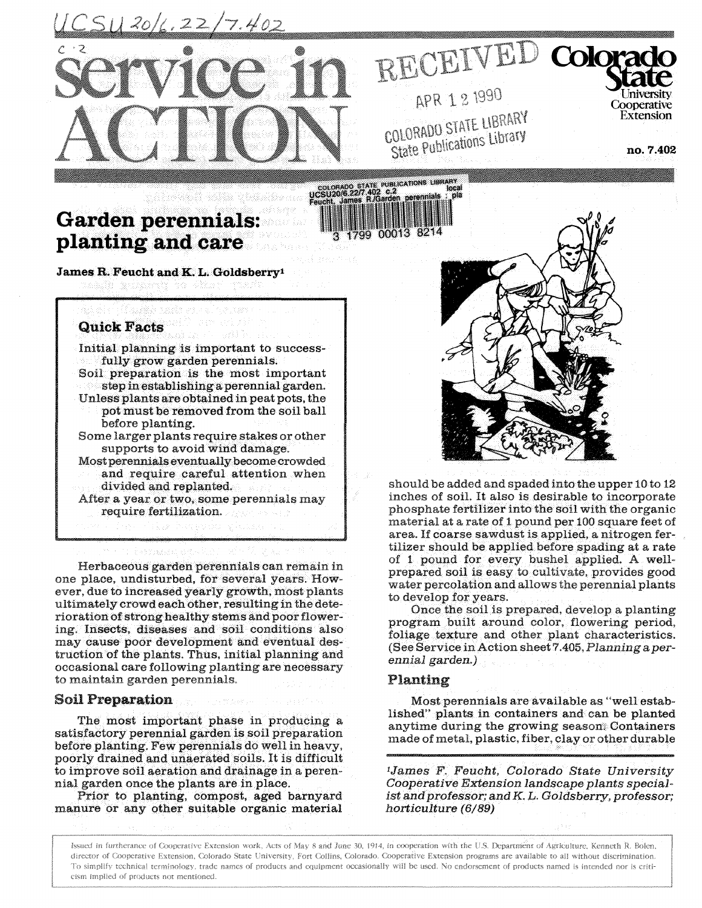$51120/4.22/7.402$ 



APR 1 2 1990 COLORADO STATE LIBRARY OLORADO STATE Cibrary

RECEIVED Colorad

no. 7.402

Cooperative

Extension

# **Garden perennials: planting and care**

eis Tillayddo nacht en col

188338381

**James R. Feucht and K. L. Goldsberry<sup>1</sup>**

# **Quick Facts**

Initial planning is important to successfully **grow garden perennials.**  Soil preparation is the most important step in establishing a perennial garden. Unless plants are obtained in peat pots, the **pot** must be removed from the soil ball before planting. Some larger plants require stakes or other supports to avoid wind damage.

Most **perennials** eventually become crowded and require careful attention when divided and replanted.

After a year or two, some perennials may require fertilization.

in sa Polence na Pelakar

Herbaceous garden perennials can remain in one place, undisturbed, for several years. However, due to increased yearly growth, most plants ultimately crowd each other, resulting in the deterioration **of** strong healthy stems and poor flowering. Insects, diseases and soil conditions also may cause poor development and eventual destruction of the plants. Thus, initial planning and occasional care following planting are necessary to maintain garden perennials.

## **Soil Preparation**

The most important phase in producing satisfactory perennial garden is soil preparation before planting. Few perennials do well in heavy, poorly drained **and** unaerated soils. It is difficult to improve soil aeration and drainage in a **peren**nial garden once the plants are in place.

Prior **to planting,** compost, aged **barnyard**  manure or any other suitable organic material



should be added and spaded into the upper 10 to 12 inches of soil. It also is desirable to incorporate phosphate fertilizer into the soil with the organic **material** at a rate of 1 pound per 100 square feet of area. If coarse sawdust is applied, a nitrogen fertilizer should be applied before spading at a rate of 1 pound for every bushel applied. A wellprepared soil is easy to cultivate, provides good water percolation and allows the perennial plants to develop for years.

Once the soil is prepared, develop a planting program built around color, flowering period, foliage texture and other plant characteristics. (See Service in Action sheet 7.405, *Planning a perennial garden.)* 

#### **Planting**

Most perennials are available as "well established" plants in containers and can be planted anytime during the growing season. Containers made of metal, plastic, fiber, clay or other durable

*<sup>1</sup>James F. Feucht, Colorado State University Cooperative Extension landscape plants specialist and professor; and K. L. Goldsberry, professor; horticulture (6/89)* 

Issued in furtherance of Cooperative Extension work, Acts of May 8 and June 30. 1914, in cooperation with the U.S. Department of Agriculture, Kenneth R. Bolen, director of Cooperative Extension, Colorado State University, Fort Collins, Colorado. Cooperative Extension programs are available to all without discrimination. To simplify technical terminology, trade names of products and equipment occasionally will be used. No endorsement of products named is intended nor is criticism implied of products **not** mentioned.